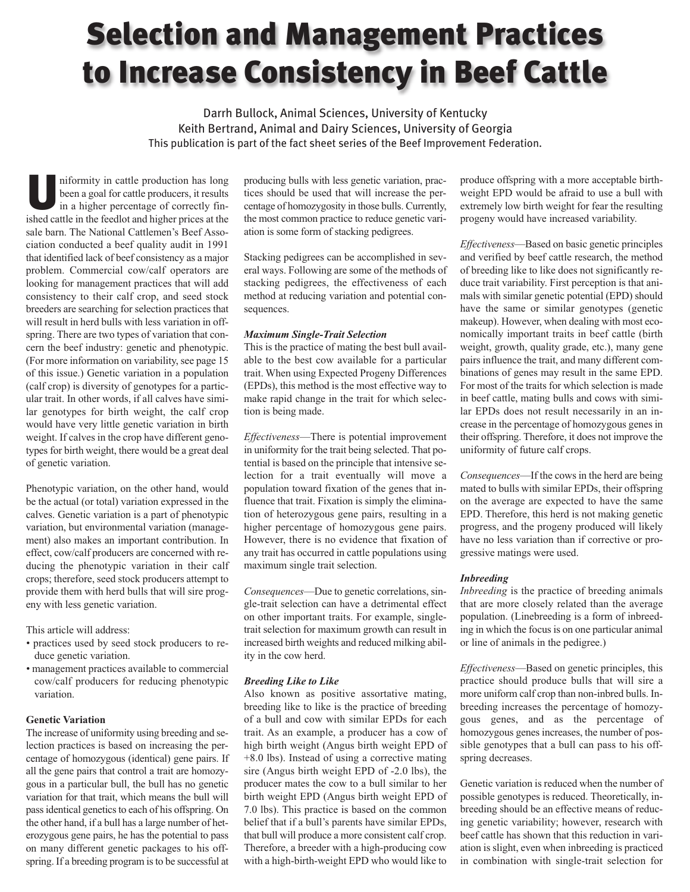# **Selection and Management Practices to Increase Consistency in Beef Cattle**

Darrh Bullock, Animal Sciences, University of Kentucky Keith Bertrand, Animal and Dairy Sciences, University of Georgia This publication is part of the fact sheet series of the Beef Improvement Federation.

**U**niformity in cattle production has long<br>been a goal for cattle producers, it results<br>in a higher percentage of correctly finbeen a goal for cattle producers, it results ished cattle in the feedlot and higher prices at the sale barn. The National Cattlemen's Beef Association conducted a beef quality audit in 1991 that identified lack of beef consistency as a major problem. Commercial cow/calf operators are looking for management practices that will add consistency to their calf crop, and seed stock breeders are searching for selection practices that will result in herd bulls with less variation in offspring. There are two types of variation that concern the beef industry: genetic and phenotypic. (For more information on variability, see page 15 of this issue.) Genetic variation in a population (calf crop) is diversity of genotypes for a particular trait. In other words, if all calves have similar genotypes for birth weight, the calf crop would have very little genetic variation in birth weight. If calves in the crop have different genotypes for birth weight, there would be a great deal of genetic variation.

Phenotypic variation, on the other hand, would be the actual (or total) variation expressed in the calves. Genetic variation is a part of phenotypic variation, but environmental variation (management) also makes an important contribution. In effect, cow/calf producers are concerned with reducing the phenotypic variation in their calf crops; therefore, seed stock producers attempt to provide them with herd bulls that will sire progeny with less genetic variation.

This article will address:

- practices used by seed stock producers to reduce genetic variation.
- management practices available to commercial cow/calf producers for reducing phenotypic variation.

## **Genetic Variation**

The increase of uniformity using breeding and selection practices is based on increasing the percentage of homozygous (identical) gene pairs. If all the gene pairs that control a trait are homozygous in a particular bull, the bull has no genetic variation for that trait, which means the bull will pass identical genetics to each of his offspring. On the other hand, if a bull has a large number of heterozygous gene pairs, he has the potential to pass on many different genetic packages to his offspring. If a breeding program is to be successful at producing bulls with less genetic variation, practices should be used that will increase the percentage of homozygosity in those bulls. Currently, the most common practice to reduce genetic variation is some form of stacking pedigrees.

Stacking pedigrees can be accomplished in several ways. Following are some of the methods of stacking pedigrees, the effectiveness of each method at reducing variation and potential consequences.

### *Maximum Single-Trait Selection*

This is the practice of mating the best bull available to the best cow available for a particular trait. When using Expected Progeny Differences (EPDs), this method is the most effective way to make rapid change in the trait for which selection is being made.

*Effectiveness*—There is potential improvement in uniformity for the trait being selected. That potential is based on the principle that intensive selection for a trait eventually will move a population toward fixation of the genes that influence that trait. Fixation is simply the elimination of heterozygous gene pairs, resulting in a higher percentage of homozygous gene pairs. However, there is no evidence that fixation of any trait has occurred in cattle populations using maximum single trait selection.

*Consequences*—Due to genetic correlations, single-trait selection can have a detrimental effect on other important traits. For example, singletrait selection for maximum growth can result in increased birth weights and reduced milking ability in the cow herd.

## *Breeding Like to Like*

Also known as positive assortative mating, breeding like to like is the practice of breeding of a bull and cow with similar EPDs for each trait. As an example, a producer has a cow of high birth weight (Angus birth weight EPD of +8.0 lbs). Instead of using a corrective mating sire (Angus birth weight EPD of -2.0 lbs), the producer mates the cow to a bull similar to her birth weight EPD (Angus birth weight EPD of 7.0 lbs). This practice is based on the common belief that if a bull's parents have similar EPDs, that bull will produce a more consistent calf crop. Therefore, a breeder with a high-producing cow with a high-birth-weight EPD who would like to

produce offspring with a more acceptable birthweight EPD would be afraid to use a bull with extremely low birth weight for fear the resulting progeny would have increased variability.

*Effectiveness*—Based on basic genetic principles and verified by beef cattle research, the method of breeding like to like does not significantly reduce trait variability. First perception is that animals with similar genetic potential (EPD) should have the same or similar genotypes (genetic makeup). However, when dealing with most economically important traits in beef cattle (birth weight, growth, quality grade, etc.), many gene pairs influence the trait, and many different combinations of genes may result in the same EPD. For most of the traits for which selection is made in beef cattle, mating bulls and cows with similar EPDs does not result necessarily in an increase in the percentage of homozygous genes in their offspring. Therefore, it does not improve the uniformity of future calf crops.

*Consequences*—If the cows in the herd are being mated to bulls with similar EPDs, their offspring on the average are expected to have the same EPD. Therefore, this herd is not making genetic progress, and the progeny produced will likely have no less variation than if corrective or progressive matings were used.

#### *Inbreeding*

*Inbreeding* is the practice of breeding animals that are more closely related than the average population. (Linebreeding is a form of inbreeding in which the focus is on one particular animal or line of animals in the pedigree.)

*Effectiveness*—Based on genetic principles, this practice should produce bulls that will sire a more uniform calf crop than non-inbred bulls. Inbreeding increases the percentage of homozygous genes, and as the percentage of homozygous genes increases, the number of possible genotypes that a bull can pass to his offspring decreases.

Genetic variation is reduced when the number of possible genotypes is reduced. Theoretically, inbreeding should be an effective means of reducing genetic variability; however, research with beef cattle has shown that this reduction in variation is slight, even when inbreeding is practiced in combination with single-trait selection for